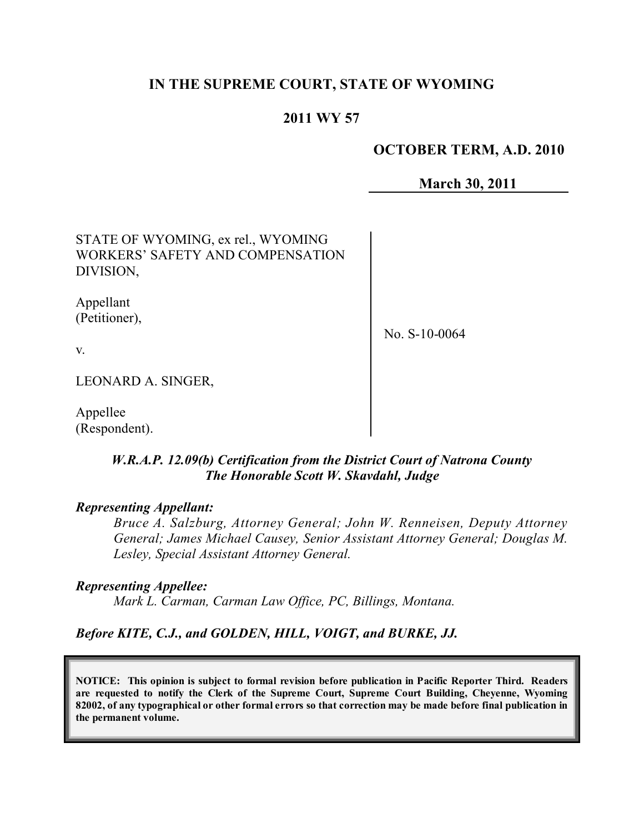# **IN THE SUPREME COURT, STATE OF WYOMING**

# **2011 WY 57**

### **OCTOBER TERM, A.D. 2010**

**March 30, 2011**

STATE OF WYOMING, ex rel., WYOMING WORKERS' SAFETY AND COMPENSATION DIVISION,

Appellant (Petitioner),

No. S-10-0064

v.

LEONARD A. SINGER,

Appellee (Respondent).

## *W.R.A.P. 12.09(b) Certification from the District Court of Natrona County The Honorable Scott W. Skavdahl, Judge*

#### *Representing Appellant:*

*Bruce A. Salzburg, Attorney General; John W. Renneisen, Deputy Attorney General; James Michael Causey, Senior Assistant Attorney General; Douglas M. Lesley, Special Assistant Attorney General.*

*Representing Appellee:*

*Mark L. Carman, Carman Law Office, PC, Billings, Montana.*

*Before KITE, C.J., and GOLDEN, HILL, VOIGT, and BURKE, JJ.*

**NOTICE: This opinion is subject to formal revision before publication in Pacific Reporter Third. Readers are requested to notify the Clerk of the Supreme Court, Supreme Court Building, Cheyenne, Wyoming** 82002, of any typographical or other formal errors so that correction may be made before final publication in **the permanent volume.**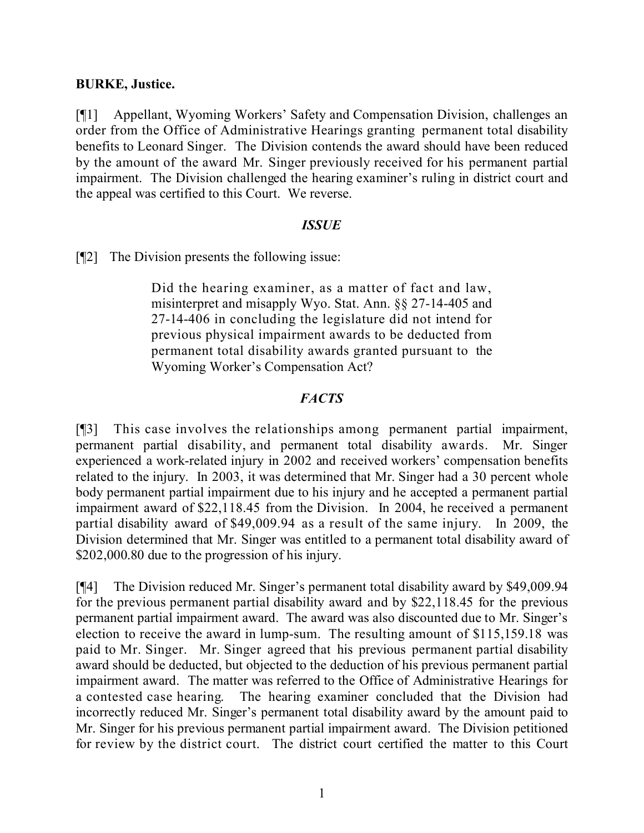## **BURKE, Justice.**

[¶1] Appellant, Wyoming Workers' Safety and Compensation Division, challenges an order from the Office of Administrative Hearings granting permanent total disability benefits to Leonard Singer. The Division contends the award should have been reduced by the amount of the award Mr. Singer previously received for his permanent partial impairment. The Division challenged the hearing examiner's ruling in district court and the appeal was certified to this Court. We reverse.

## *ISSUE*

[¶2] The Division presents the following issue:

Did the hearing examiner, as a matter of fact and law, misinterpret and misapply Wyo. Stat. Ann. §§ 27-14-405 and 27-14-406 in concluding the legislature did not intend for previous physical impairment awards to be deducted from permanent total disability awards granted pursuant to the Wyoming Worker's Compensation Act?

## *FACTS*

[¶3] This case involves the relationships among permanent partial impairment, permanent partial disability, and permanent total disability awards. Mr. Singer experienced a work-related injury in 2002 and received workers' compensation benefits related to the injury. In 2003, it was determined that Mr. Singer had a 30 percent whole body permanent partial impairment due to his injury and he accepted a permanent partial impairment award of \$22,118.45 from the Division. In 2004, he received a permanent partial disability award of \$49,009.94 as a result of the same injury. In 2009, the Division determined that Mr. Singer was entitled to a permanent total disability award of \$202,000.80 due to the progression of his injury.

[¶4] The Division reduced Mr. Singer's permanent total disability award by \$49,009.94 for the previous permanent partial disability award and by \$22,118.45 for the previous permanent partial impairment award. The award was also discounted due to Mr. Singer's election to receive the award in lump-sum. The resulting amount of \$115,159.18 was paid to Mr. Singer. Mr. Singer agreed that his previous permanent partial disability award should be deducted, but objected to the deduction of his previous permanent partial impairment award. The matter was referred to the Office of Administrative Hearings for a contested case hearing. The hearing examiner concluded that the Division had incorrectly reduced Mr. Singer's permanent total disability award by the amount paid to Mr. Singer for his previous permanent partial impairment award. The Division petitioned for review by the district court. The district court certified the matter to this Court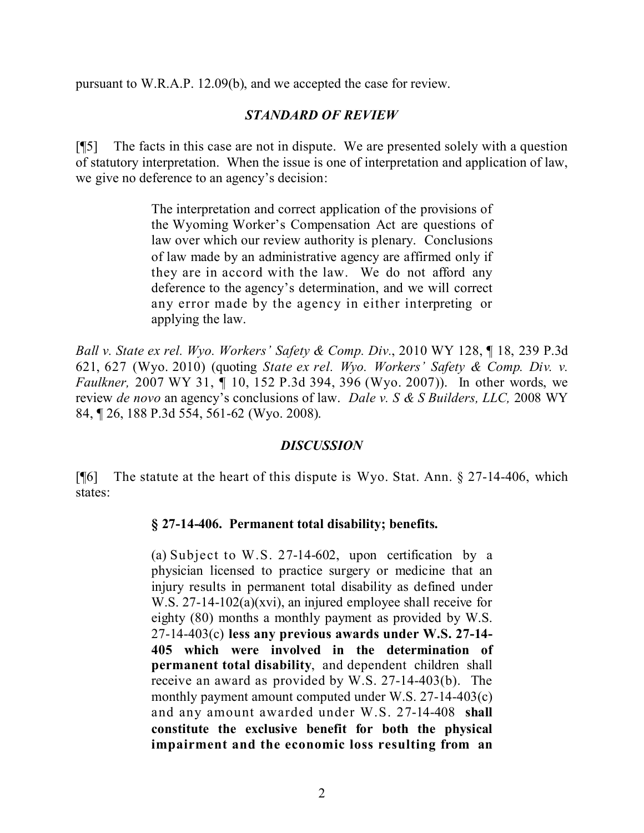pursuant to W.R.A.P. 12.09(b), and we accepted the case for review.

### *STANDARD OF REVIEW*

[¶5] The facts in this case are not in dispute. We are presented solely with a question of statutory interpretation. When the issue is one of interpretation and application of law, we give no deference to an agency's decision:

> The interpretation and correct application of the provisions of the Wyoming Worker's Compensation Act are questions of law over which our review authority is plenary. Conclusions of law made by an administrative agency are affirmed only if they are in accord with the law. We do not afford any deference to the agency's determination, and we will correct any error made by the agency in either interpreting or applying the law.

*Ball v. State ex rel. Wyo. Workers' Safety & Comp. Div.*, 2010 WY 128, ¶ 18, 239 P.3d 621, 627 (Wyo. 2010) (quoting *State ex rel. Wyo. Workers' Safety & Comp. Div. v. Faulkner,* 2007 WY 31, ¶ 10, 152 P.3d 394, 396 (Wyo. 2007)). In other words, we review *de novo* an agency's conclusions of law. *Dale v. S & S Builders, LLC,* 2008 WY 84, ¶ 26, 188 P.3d 554, 561-62 (Wyo. 2008).

#### *DISCUSSION*

[¶6] The statute at the heart of this dispute is Wyo. Stat. Ann. § 27-14-406, which states:

#### **§ 27-14-406. Permanent total disability; benefits.**

(a) Subject to W.S. 27-14-602, upon certification by a physician licensed to practice surgery or medicine that an injury results in permanent total disability as defined under W.S. 27-14-102(a)(xvi), an injured employee shall receive for eighty (80) months a monthly payment as provided by W.S. 27-14-403(c) **less any previous awards under W.S. 27-14- 405 which were involved in the determination of permanent total disability**, and dependent children shall receive an award as provided by W.S. 27-14-403(b). The monthly payment amount computed under W.S. 27-14-403(c) and any amount awarded under W.S. 27-14-408 **shall constitute the exclusive benefit for both the physical impairment and the economic loss resulting from an**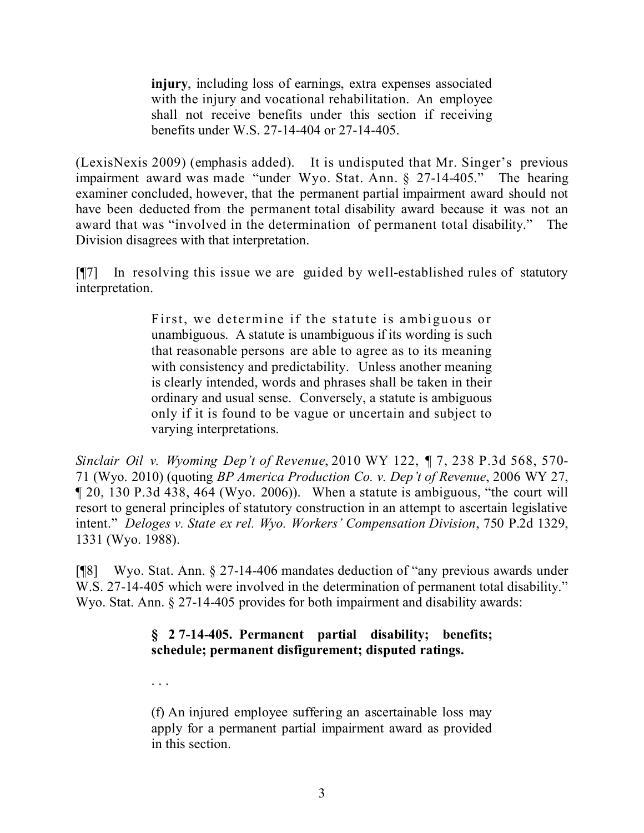**injury**, including loss of earnings, extra expenses associated with the injury and vocational rehabilitation. An employee shall not receive benefits under this section if receiving benefits under W.S. 27-14-404 or 27-14-405.

(LexisNexis 2009) (emphasis added). It is undisputed that Mr. Singer's previous impairment award was made "under Wyo. Stat. Ann. § 27-14-405." The hearing examiner concluded, however, that the permanent partial impairment award should not have been deducted from the permanent total disability award because it was not an award that was "involved in the determination of permanent total disability." The Division disagrees with that interpretation.

[¶7] In resolving this issue we are guided by well-established rules of statutory interpretation.

> First, we determine if the statute is ambiguous or unambiguous. A statute is unambiguous if its wording is such that reasonable persons are able to agree as to its meaning with consistency and predictability. Unless another meaning is clearly intended, words and phrases shall be taken in their ordinary and usual sense. Conversely, a statute is ambiguous only if it is found to be vague or uncertain and subject to varying interpretations.

*Sinclair Oil v. Wyoming Dep't of Revenue*, 2010 WY 122, ¶ 7, 238 P.3d 568, 570- 71 (Wyo. 2010) (quoting *BP America Production Co. v. Dep't of Revenue*, 2006 WY 27, ¶ 20, 130 P.3d 438, 464 (Wyo. 2006)). When a statute is ambiguous, "the court will resort to general principles of statutory construction in an attempt to ascertain legislative intent." *Deloges v. State ex rel. Wyo. Workers' Compensation Division*, 750 P.2d 1329, 1331 (Wyo. 1988).

[¶8] Wyo. Stat. Ann. § 27-14-406 mandates deduction of "any previous awards under W.S. 27-14-405 which were involved in the determination of permanent total disability." Wyo. Stat. Ann. § 27-14-405 provides for both impairment and disability awards:

# **§ 27-14-405. Permanent partial disability; benefits; schedule; permanent disfigurement; disputed ratings.**

(f) An injured employee suffering an ascertainable loss may apply for a permanent partial impairment award as provided in this section.

. . .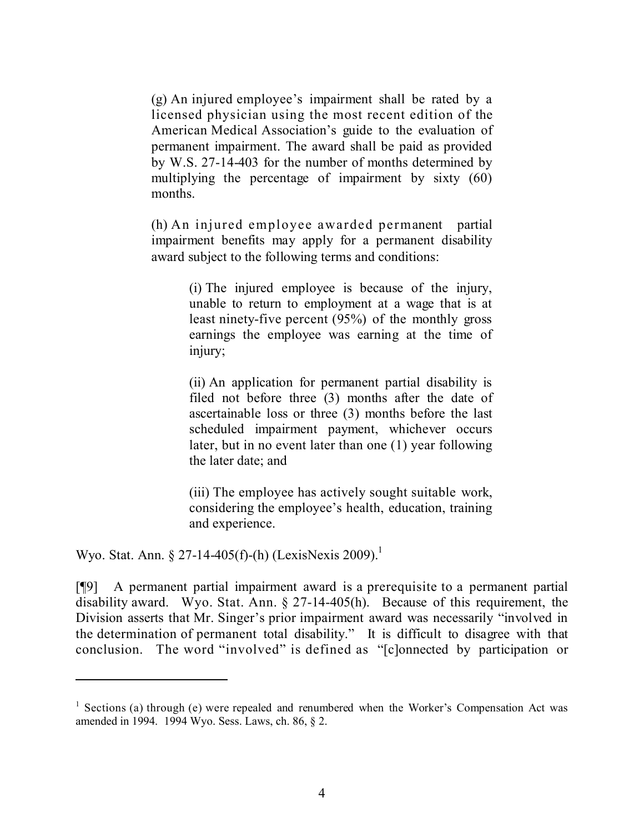(g) An injured employee's impairment shall be rated by a licensed physician using the most recent edition of the American Medical Association's guide to the evaluation of permanent impairment. The award shall be paid as provided by W.S. 27-14-403 for the number of months determined by multiplying the percentage of impairment by sixty (60) months.

(h) An injured employee awarded permanent partial impairment benefits may apply for a permanent disability award subject to the following terms and conditions:

> (i) The injured employee is because of the injury, unable to return to employment at a wage that is at least ninety-five percent (95%) of the monthly gross earnings the employee was earning at the time of injury;

> (ii) An application for permanent partial disability is filed not before three (3) months after the date of ascertainable loss or three (3) months before the last scheduled impairment payment, whichever occurs later, but in no event later than one (1) year following the later date; and

> (iii) The employee has actively sought suitable work, considering the employee's health, education, training and experience.

Wyo. Stat. Ann. § 27-14-405(f)-(h) (LexisNexis 2009).<sup>1</sup>

[¶9] A permanent partial impairment award is a prerequisite to a permanent partial disability award. Wyo. Stat. Ann. § 27-14-405(h). Because of this requirement, the Division asserts that Mr. Singer's prior impairment award was necessarily "involved in the determination of permanent total disability." It is difficult to disagree with that conclusion. The word "involved" is defined as "[c]onnected by participation or

<sup>&</sup>lt;sup>1</sup> Sections (a) through (e) were repealed and renumbered when the Worker's Compensation Act was amended in 1994. 1994 Wyo. Sess. Laws, ch. 86, § 2.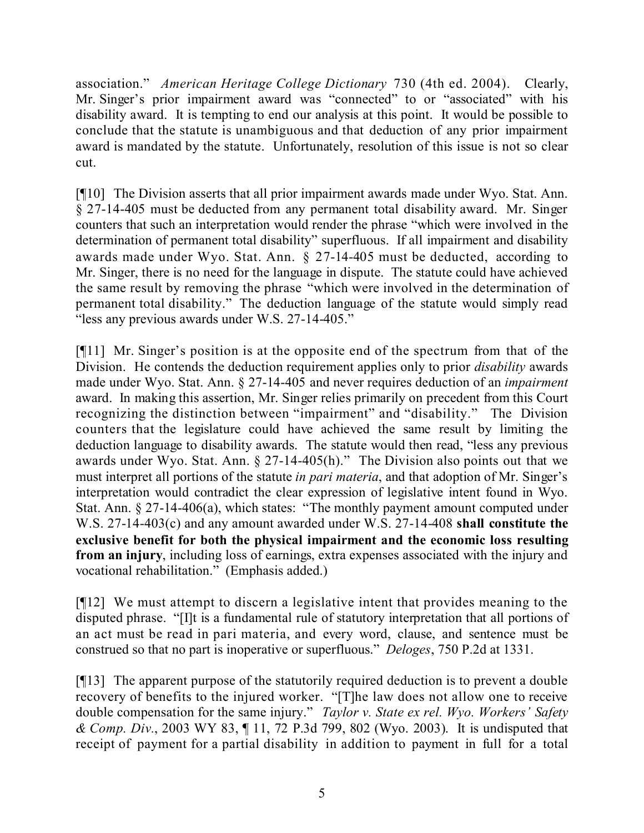association." *American Heritage College Dictionary* 730 (4th ed. 2004). Clearly, Mr. Singer's prior impairment award was "connected" to or "associated" with his disability award. It is tempting to end our analysis at this point. It would be possible to conclude that the statute is unambiguous and that deduction of any prior impairment award is mandated by the statute. Unfortunately, resolution of this issue is not so clear cut.

[¶10] The Division asserts that all prior impairment awards made under Wyo. Stat. Ann. § 27-14-405 must be deducted from any permanent total disability award. Mr. Singer counters that such an interpretation would render the phrase "which were involved in the determination of permanent total disability" superfluous. If all impairment and disability awards made under Wyo. Stat. Ann. § 27-14-405 must be deducted, according to Mr. Singer, there is no need for the language in dispute. The statute could have achieved the same result by removing the phrase "which were involved in the determination of permanent total disability." The deduction language of the statute would simply read "less any previous awards under W.S. 27-14-405."

[¶11] Mr. Singer's position is at the opposite end of the spectrum from that of the Division. He contends the deduction requirement applies only to prior *disability* awards made under Wyo. Stat. Ann. § 27-14-405 and never requires deduction of an *impairment* award. In making this assertion, Mr. Singer relies primarily on precedent from this Court recognizing the distinction between "impairment" and "disability." The Division counters that the legislature could have achieved the same result by limiting the deduction language to disability awards. The statute would then read, "less any previous awards under Wyo. Stat. Ann. § 27-14-405(h)." The Division also points out that we must interpret all portions of the statute *in pari materia*, and that adoption of Mr. Singer's interpretation would contradict the clear expression of legislative intent found in Wyo. Stat. Ann. § 27-14-406(a), which states: "The monthly payment amount computed under W.S. 27-14-403(c) and any amount awarded under W.S. 27-14-408 **shall constitute the exclusive benefit for both the physical impairment and the economic loss resulting from an injury**, including loss of earnings, extra expenses associated with the injury and vocational rehabilitation." (Emphasis added.)

[¶12] We must attempt to discern a legislative intent that provides meaning to the disputed phrase. "[I]t is a fundamental rule of statutory interpretation that all portions of an act must be read in pari materia, and every word, clause, and sentence must be construed so that no part is inoperative or superfluous." *Deloges*, 750 P.2d at 1331.

[¶13] The apparent purpose of the statutorily required deduction is to prevent a double recovery of benefits to the injured worker. "[T]he law does not allow one to receive double compensation for the same injury." *Taylor v. State ex rel. Wyo. Workers' Safety & Comp. Div.*, 2003 WY 83, ¶ 11, 72 P.3d 799, 802 (Wyo. 2003). It is undisputed that receipt of payment for a partial disability in addition to payment in full for a total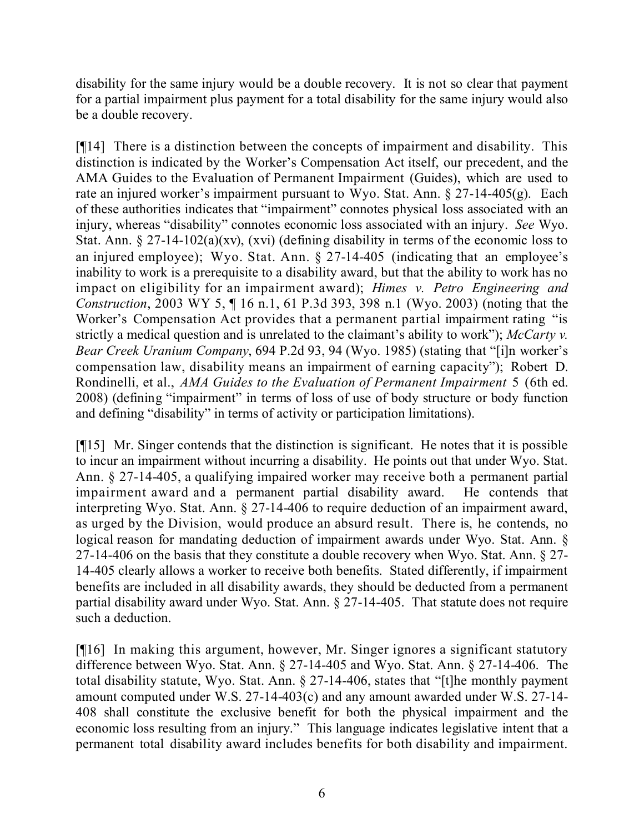disability for the same injury would be a double recovery. It is not so clear that payment for a partial impairment plus payment for a total disability for the same injury would also be a double recovery.

[¶14] There is a distinction between the concepts of impairment and disability. This distinction is indicated by the Worker's Compensation Act itself, our precedent, and the AMA Guides to the Evaluation of Permanent Impairment (Guides), which are used to rate an injured worker's impairment pursuant to Wyo. Stat. Ann. § 27-14-405(g). Each of these authorities indicates that "impairment" connotes physical loss associated with an injury, whereas "disability" connotes economic loss associated with an injury. *See* Wyo. Stat. Ann. § 27-14-102(a)(xv), (xvi) (defining disability in terms of the economic loss to an injured employee); Wyo. Stat. Ann. § 27-14-405 (indicating that an employee's inability to work is a prerequisite to a disability award, but that the ability to work has no impact on eligibility for an impairment award); *Himes v. Petro Engineering and Construction*, 2003 WY 5, ¶ 16 n.1, 61 P.3d 393, 398 n.1 (Wyo. 2003) (noting that the Worker's Compensation Act provides that a permanent partial impairment rating "is strictly a medical question and is unrelated to the claimant's ability to work"); *McCarty v. Bear Creek Uranium Company*, 694 P.2d 93, 94 (Wyo. 1985) (stating that "[i]n worker's compensation law, disability means an impairment of earning capacity"); Robert D. Rondinelli, et al., *AMA Guides to the Evaluation of Permanent Impairment* 5 (6th ed. 2008) (defining "impairment" in terms of loss of use of body structure or body function and defining "disability" in terms of activity or participation limitations).

[¶15] Mr. Singer contends that the distinction is significant. He notes that it is possible to incur an impairment without incurring a disability. He points out that under Wyo. Stat. Ann. § 27-14-405, a qualifying impaired worker may receive both a permanent partial impairment award and a permanent partial disability award. He contends that interpreting Wyo. Stat. Ann. § 27-14-406 to require deduction of an impairment award, as urged by the Division, would produce an absurd result. There is, he contends, no logical reason for mandating deduction of impairment awards under Wyo. Stat. Ann. § 27-14-406 on the basis that they constitute a double recovery when Wyo. Stat. Ann. § 27- 14-405 clearly allows a worker to receive both benefits. Stated differently, if impairment benefits are included in all disability awards, they should be deducted from a permanent partial disability award under Wyo. Stat. Ann. § 27-14-405. That statute does not require such a deduction.

[¶16] In making this argument, however, Mr. Singer ignores a significant statutory difference between Wyo. Stat. Ann. § 27-14-405 and Wyo. Stat. Ann. § 27-14-406. The total disability statute, Wyo. Stat. Ann. § 27-14-406, states that "[t]he monthly payment amount computed under W.S. 27-14-403(c) and any amount awarded under W.S. 27-14- 408 shall constitute the exclusive benefit for both the physical impairment and the economic loss resulting from an injury." This language indicates legislative intent that a permanent total disability award includes benefits for both disability and impairment.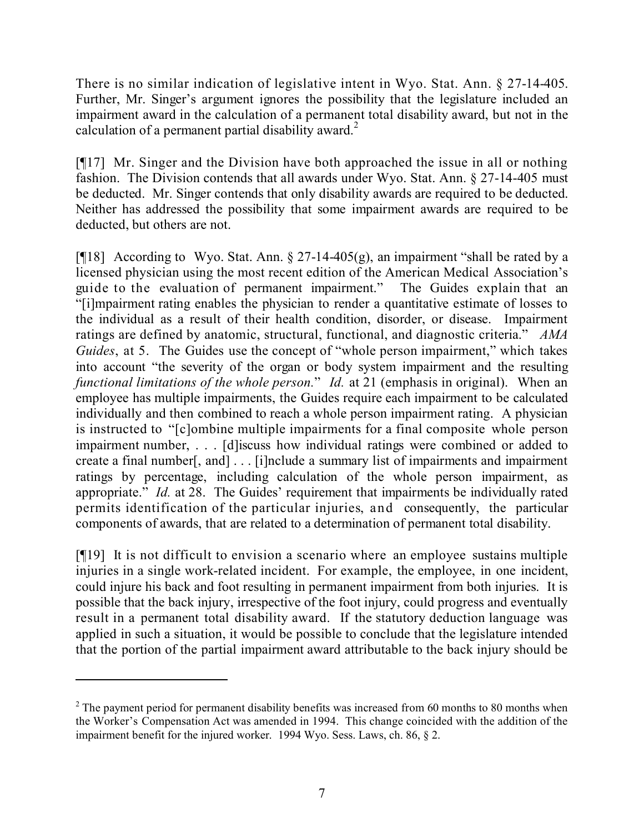There is no similar indication of legislative intent in Wyo. Stat. Ann. § 27-14-405. Further, Mr. Singer's argument ignores the possibility that the legislature included an impairment award in the calculation of a permanent total disability award, but not in the calculation of a permanent partial disability award.<sup>2</sup>

[¶17] Mr. Singer and the Division have both approached the issue in all or nothing fashion. The Division contends that all awards under Wyo. Stat. Ann. § 27-14-405 must be deducted. Mr. Singer contends that only disability awards are required to be deducted. Neither has addressed the possibility that some impairment awards are required to be deducted, but others are not.

[ $[$ [18] According to Wyo. Stat. Ann. § 27-14-405(g), an impairment "shall be rated by a licensed physician using the most recent edition of the American Medical Association's guide to the evaluation of permanent impairment." The Guides explain that an "[i]mpairment rating enables the physician to render a quantitative estimate of losses to the individual as a result of their health condition, disorder, or disease. Impairment ratings are defined by anatomic, structural, functional, and diagnostic criteria." *AMA Guides*, at 5. The Guides use the concept of "whole person impairment," which takes into account "the severity of the organ or body system impairment and the resulting *functional limitations of the whole person.*" *Id.* at 21 (emphasis in original). When an employee has multiple impairments, the Guides require each impairment to be calculated individually and then combined to reach a whole person impairment rating. A physician is instructed to "[c]ombine multiple impairments for a final composite whole person impairment number, . . . [d]iscuss how individual ratings were combined or added to create a final number[, and] . . . [i]nclude a summary list of impairments and impairment ratings by percentage, including calculation of the whole person impairment, as appropriate." *Id.* at 28. The Guides' requirement that impairments be individually rated permits identification of the particular injuries, and consequently, the particular components of awards, that are related to a determination of permanent total disability.

[¶19] It is not difficult to envision a scenario where an employee sustains multiple injuries in a single work-related incident. For example, the employee, in one incident, could injure his back and foot resulting in permanent impairment from both injuries. It is possible that the back injury, irrespective of the foot injury, could progress and eventually result in a permanent total disability award. If the statutory deduction language was applied in such a situation, it would be possible to conclude that the legislature intended that the portion of the partial impairment award attributable to the back injury should be

 $2$  The payment period for permanent disability benefits was increased from 60 months to 80 months when the Worker's Compensation Act was amended in 1994. This change coincided with the addition of the impairment benefit for the injured worker. 1994 Wyo. Sess. Laws, ch. 86, § 2.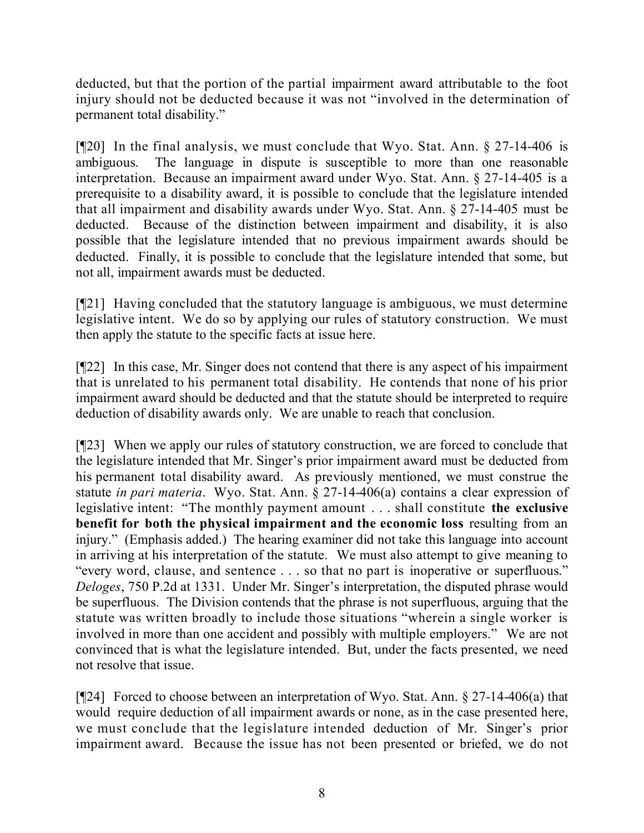deducted, but that the portion of the partial impairment award attributable to the foot injury should not be deducted because it was not "involved in the determination of permanent total disability."

[¶20] In the final analysis, we must conclude that Wyo. Stat. Ann. § 27-14-406 is ambiguous. The language in dispute is susceptible to more than one reasonable interpretation. Because an impairment award under Wyo. Stat. Ann. § 27-14-405 is a prerequisite to a disability award, it is possible to conclude that the legislature intended that all impairment and disability awards under Wyo. Stat. Ann. § 27-14-405 must be deducted. Because of the distinction between impairment and disability, it is also possible that the legislature intended that no previous impairment awards should be deducted. Finally, it is possible to conclude that the legislature intended that some, but not all, impairment awards must be deducted.

[¶21] Having concluded that the statutory language is ambiguous, we must determine legislative intent. We do so by applying our rules of statutory construction. We must then apply the statute to the specific facts at issue here.

[¶22] In this case, Mr. Singer does not contend that there is any aspect of his impairment that is unrelated to his permanent total disability. He contends that none of his prior impairment award should be deducted and that the statute should be interpreted to require deduction of disability awards only. We are unable to reach that conclusion.

[¶23] When we apply our rules of statutory construction, we are forced to conclude that the legislature intended that Mr. Singer's prior impairment award must be deducted from his permanent total disability award. As previously mentioned, we must construe the statute *in pari materia*. Wyo. Stat. Ann. § 27-14-406(a) contains a clear expression of legislative intent: "The monthly payment amount . . . shall constitute **the exclusive benefit for both the physical impairment and the economic loss** resulting from an injury." (Emphasis added.) The hearing examiner did not take this language into account in arriving at his interpretation of the statute. We must also attempt to give meaning to "every word, clause, and sentence . . . so that no part is inoperative or superfluous." *Deloges*, 750 P.2d at 1331. Under Mr. Singer's interpretation, the disputed phrase would be superfluous. The Division contends that the phrase is not superfluous, arguing that the statute was written broadly to include those situations "wherein a single worker is involved in more than one accident and possibly with multiple employers." We are not convinced that is what the legislature intended. But, under the facts presented, we need not resolve that issue.

[¶24] Forced to choose between an interpretation of Wyo. Stat. Ann. § 27-14-406(a) that would require deduction of all impairment awards or none, as in the case presented here, we must conclude that the legislature intended deduction of Mr. Singer's prior impairment award. Because the issue has not been presented or briefed, we do not